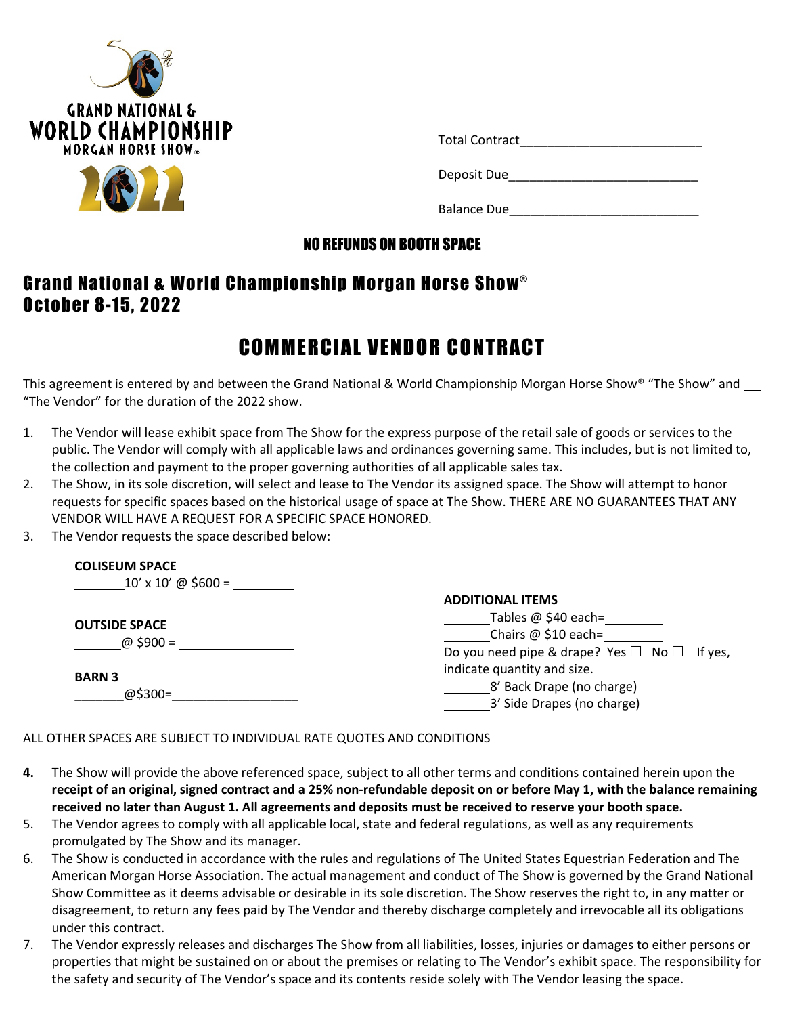



| <b>Total Contract</b> |  |
|-----------------------|--|
| Deposit Due           |  |
| <b>Balance Due</b>    |  |

#### NO REFUNDS ON BOOTH SPACE

## Grand National & World Championship Morgan Horse Show® October 8-15, 2022

# COMMERCIAL VENDOR CONTRACT

This agreement is entered by and between the Grand National & World Championship Morgan Horse Show® "The Show" and "The Vendor" for the duration of the 2022 show.

- 1. The Vendor will lease exhibit space from The Show for the express purpose of the retail sale of goods or services to the public. The Vendor will comply with all applicable laws and ordinances governing same. This includes, but is not limited to, the collection and payment to the proper governing authorities of all applicable sales tax.
- 2. The Show, in its sole discretion, will select and lease to The Vendor its assigned space. The Show will attempt to honor requests for specific spaces based on the historical usage of space at The Show. THERE ARE NO GUARANTEES THAT ANY VENDOR WILL HAVE A REQUEST FOR A SPECIFIC SPACE HONORED.
- 3. The Vendor requests the space described below:

| <b>COLISEUM SPACE</b><br>$10' \times 10'$ @ \$600 = |                                                        |  |  |  |
|-----------------------------------------------------|--------------------------------------------------------|--|--|--|
|                                                     | <b>ADDITIONAL ITEMS</b>                                |  |  |  |
| <b>OUTSIDE SPACE</b><br>@ \$900 =                   | Tables @ \$40 each=                                    |  |  |  |
|                                                     | Chairs @ \$10 each=                                    |  |  |  |
|                                                     | Do you need pipe & drape? Yes $\Box$ No $\Box$ If yes, |  |  |  |
| <b>BARN 3</b><br>@\$300=                            | indicate quantity and size.                            |  |  |  |
|                                                     | 8' Back Drape (no charge)                              |  |  |  |
|                                                     | 3' Side Drapes (no charge)                             |  |  |  |

#### ALL OTHER SPACES ARE SUBJECT TO INDIVIDUAL RATE QUOTES AND CONDITIONS

- **4.** The Show will provide the above referenced space, subject to all other terms and conditions contained herein upon the receipt of an original, signed contract and a 25% non-refundable deposit on or before May 1, with the balance remaining received no later than August 1. All agreements and deposits must be received to reserve your booth space.
- 5. The Vendor agrees to comply with all applicable local, state and federal regulations, as well as any requirements promulgated by The Show and its manager.
- 6. The Show is conducted in accordance with the rules and regulations of The United States Equestrian Federation and The American Morgan Horse Association. The actual management and conduct of The Show is governed by the Grand National Show Committee as it deems advisable or desirable in its sole discretion. The Show reserves the right to, in any matter or disagreement, to return any fees paid by The Vendor and thereby discharge completely and irrevocable all its obligations under this contract.
- 7. The Vendor expressly releases and discharges The Show from all liabilities, losses, injuries or damages to either persons or properties that might be sustained on or about the premises or relating to The Vendor's exhibit space. The responsibility for the safety and security of The Vendor's space and its contents reside solely with The Vendor leasing the space.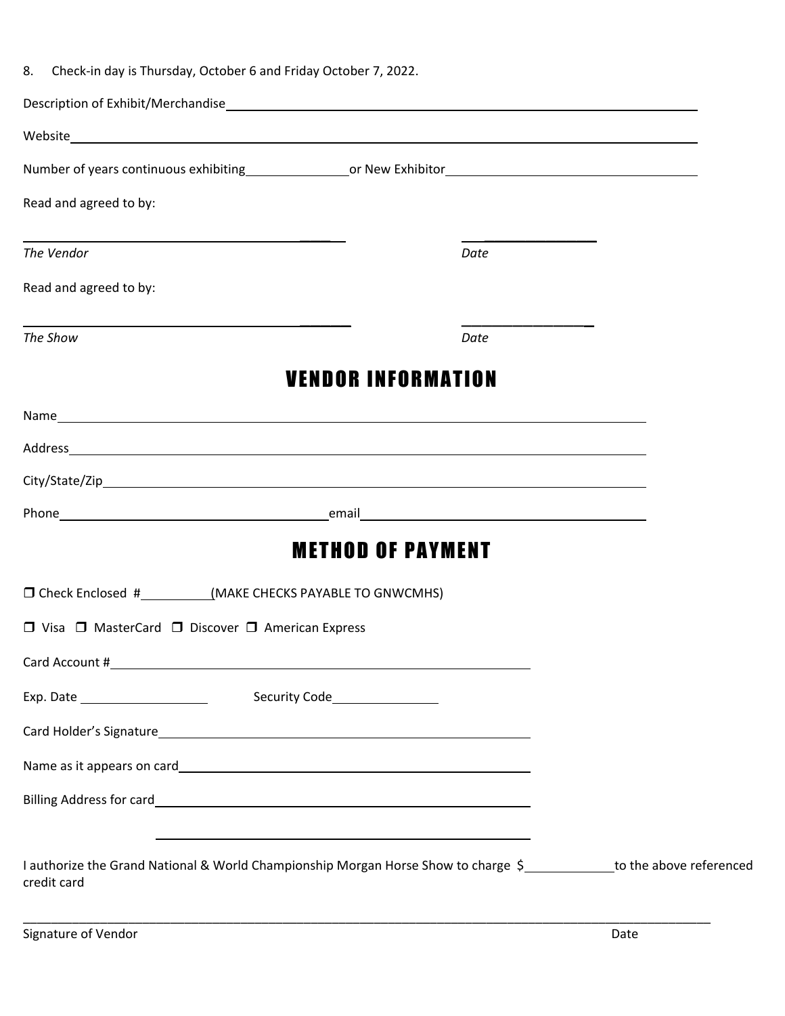| 8. Check-in day is Thursday, October 6 and Friday October 7, 2022.                                                                                                                                                               |                                                             |  |
|----------------------------------------------------------------------------------------------------------------------------------------------------------------------------------------------------------------------------------|-------------------------------------------------------------|--|
|                                                                                                                                                                                                                                  |                                                             |  |
| Website                                                                                                                                                                                                                          |                                                             |  |
|                                                                                                                                                                                                                                  |                                                             |  |
| Read and agreed to by:                                                                                                                                                                                                           |                                                             |  |
| and the control of the control of the control of the control of the control of the control of the control of the<br>The Vendor                                                                                                   | Date                                                        |  |
| Read and agreed to by:                                                                                                                                                                                                           |                                                             |  |
| The Show                                                                                                                                                                                                                         | Date                                                        |  |
|                                                                                                                                                                                                                                  | <b>VENDOR INFORMATION</b>                                   |  |
| Name and the contract of the contract of the contract of the contract of the contract of the contract of the contract of the contract of the contract of the contract of the contract of the contract of the contract of the c   |                                                             |  |
|                                                                                                                                                                                                                                  |                                                             |  |
|                                                                                                                                                                                                                                  |                                                             |  |
|                                                                                                                                                                                                                                  |                                                             |  |
|                                                                                                                                                                                                                                  | <b>METHOD OF PAYMENT</b>                                    |  |
| □ Check Enclosed #____________(MAKE CHECKS PAYABLE TO GNWCMHS)                                                                                                                                                                   |                                                             |  |
| □ Visa □ MasterCard □ Discover □ American Express                                                                                                                                                                                |                                                             |  |
|                                                                                                                                                                                                                                  |                                                             |  |
|                                                                                                                                                                                                                                  |                                                             |  |
|                                                                                                                                                                                                                                  |                                                             |  |
|                                                                                                                                                                                                                                  |                                                             |  |
| Billing Address for card<br>expansion of the contract of the contract of the contract of the contract of the contract of the contract of the contract of the contract of the contract of the contract of the contract of the con |                                                             |  |
| credit card                                                                                                                                                                                                                      | <u> 1989 - Johann Stoff, Amerikaansk politiker (* 1908)</u> |  |
| I authorize the Grand National & World Championship Morgan Horse Show to charge \$____________to the above referenced                                                                                                            |                                                             |  |